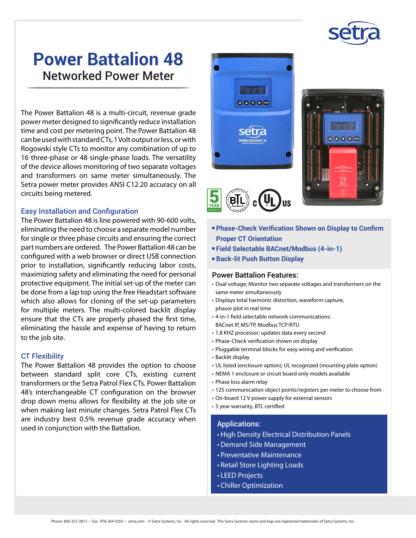

# **Power Battalion 48**  Networked Power Meter

The Power Battalion 48 is a multi-circuit, revenue grade power meter designed to significantly reduce installation time and cost per metering point. The Power Battalion 48 can be used with standard CTs, 1 Volt output or less, or with Rogowski style CTs to monitor any combination of up to 16 three-phase or 48 single-phase loads. The versatility of the device allows monitoring of two separate voltages and transformers on same meter simultaneously. The Setra power meter provides ANSI C12.20 accuracy on all circuits being metered.

#### Easy Installation and Configuration

The Power Battalion 48 is line powered with 90-600 volts, eliminating the need to choose a separate model number for single or three phase circuits and ensuring the correct part numbers are ordered. The Power Battalion 48 can be configured with a web browser or direct USB connection prior to installation, significantly reducing labor costs, maximizing safety and eliminating the need for personal protective equipment. The initial set-up of the meter can be done from a lap top using the free Headstart software which also allows for cloning of the set-up parameters for multiple meters. The multi-colored backlit display ensure that the CTs are properly phased the first time, eliminating the hassle and expense of having to return to the job site.

#### CT Flexibility

The Power Battalion 48 provides the option to choose between standard split core CTs, existing current transformers or the Setra Patrol Flex CTs. Power Battalion 48's interchangeable CT configuration on the browser drop down menu allows for flexibility at the job site or when making last minute changes. Setra Patrol Flex CTs are industry best 0.5% revenue grade accuracy when used in conjunction with the Battalion.



- <sup>n</sup> **Phase-Check Verification Shown on Display to Confirm Proper CT Orientation**
- <sup>n</sup> **Field Selectable BACnet/Modbus (4-in-1)**
- <sup>n</sup> **Back-lit Push Button Display**

#### Power Battalion Features:

- Dual voltage; Monitor two separate voltages and transformers on the same meter simultaneously
- Displays total harmonic distortion, waveform capture, phasor plot in real time
- 4-in-1 field selectable network communications: BACnet IP, MS/TP, Modbus TCP/RTU
- 1.8 KHZ processor; updates data every second
- Phase-Check verification shown on display
- Pluggable terminal blocks for easy wiring and verification
- Backlit display
- UL listed (enclosure option); UL recognized (mounting plate option)
- NEMA 1 enclosure or circuit board only models available
- Phase loss alarm relay
- 125 communication object points/registers per meter to choose from
- On-board 12 V power supply for external sensors
- 5 year warranty, BTL certified

#### Applications:

- High Density Electrical Distribution Panels
- Demand Side Management
- Preventative Maintenance
- Retail Store Lighting Loads
- LEED Projects
- Chiller Optimization